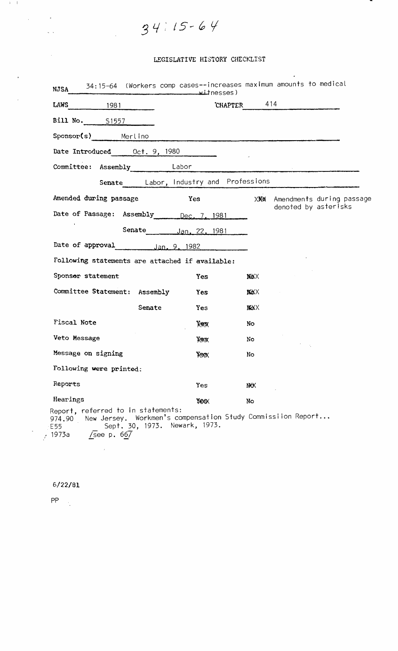$34115 - 64$ 

### LEGISLATIVE HISTORY CHECKLIST

| <b>NJSA</b>                                                                                                    | witnesses)           |                |                                                 |
|----------------------------------------------------------------------------------------------------------------|----------------------|----------------|-------------------------------------------------|
| LAWS<br>1981                                                                                                   |                      | CHAPTER 414    |                                                 |
| <b>Bill No.</b> 51557                                                                                          |                      |                |                                                 |
| Sponsor(s) Merlino                                                                                             |                      |                |                                                 |
| Date Introduced 0ct. 9, 1980                                                                                   |                      |                |                                                 |
| Committee: Assembly Labor                                                                                      |                      |                |                                                 |
| Senate Labor, Industry and Professions                                                                         |                      |                |                                                 |
| Amended during passage                                                                                         | Yes                  | XXX            | Amendments during passage                       |
| Date of Passage: Assembly Dec. 7, 1981                                                                         |                      |                | denoted by asterisks                            |
|                                                                                                                | Senate Jan. 22, 1981 |                |                                                 |
| Date of approval 100. 9, 1982                                                                                  |                      |                |                                                 |
| Following statements are attached if available:                                                                |                      |                |                                                 |
| Sponsor statement                                                                                              | <b>Yes</b>           | <b>N&amp;X</b> |                                                 |
| Committee Statement: Assembly                                                                                  | Yes                  | <b>MXX</b>     |                                                 |
| Senate                                                                                                         | Yes                  | <b>NXXX</b>    |                                                 |
| <b>Fiscal Note</b>                                                                                             | Yes:                 | No.            |                                                 |
| Veto Message                                                                                                   | Xex                  | No.            |                                                 |
| Message on signing                                                                                             | <b>Yes</b>           | No             |                                                 |
| Following were printed:                                                                                        |                      |                |                                                 |
| Reports                                                                                                        | Yes                  | I₩X            |                                                 |
| Hearings                                                                                                       | У¢ХХ                 | No             |                                                 |
| Report, referred to in statements:<br>New Jersey.<br>974.90<br>Sept. 30, 1973.<br>E55<br>/see $p.667$<br>1973a | Newark, 1973.        |                | Workmen's compensation Study Commissiion Report |

 $\sim$   $\alpha$ 

6/22/81

 $\mathsf{PP} = \frac{1}{2}$ 

 $\mathbf{E} = \mathbf{E} \times \mathbf{E}$ 

 $\sim 10^7$ 

 $\tilde{\mathcal{A}}$ 

 $\mathcal{L}_{\text{max}}(\mathcal{A})$ 

 $\sim$   $\sim$ 

 $\label{eq:1} \frac{1}{\sqrt{2\pi}}\left(\frac{1}{\sqrt{2\pi}}\right)^{1/2}$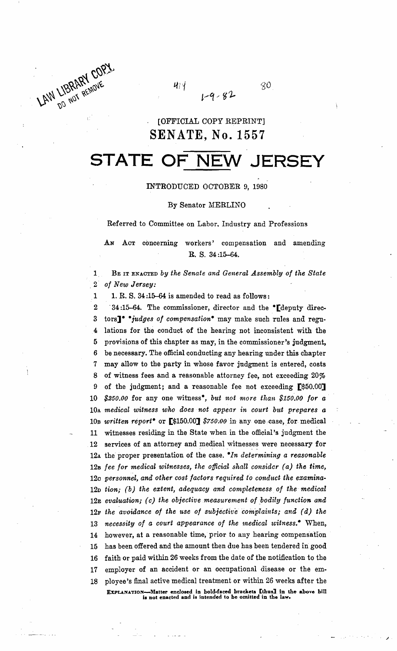LAW LIBRARY CORY

 $80^{\circ}$  $1 - 9 - 82$ 

### [OFFICIAL COpy REPRINT] **SENATE, No. 1557**

414

# **STATE OF NEW JERSEY**

### INTRODUOED OOTOBER 9, 1980

#### By Senator MERLINO

Referred to Committee on Labor. Industry and Professions

Act concerning workers' compensation and amending R. S. 34 :15-64.

1. BE IT ENACTED *by the Senate and General Assembly of the State 2 of New Jersey:* 

1 1. R. S.  $34:15-64$  is amended to read as follows:

2 -34:15-64. The commissioner, director and the "[deputy direc-3 tors]<sup>\*</sup> *iudges of compensation*<sup>\*</sup> may make such rules and regu-4 lations for the conduct of the hearing not inconsistent with the 5 provisions of this chapter as may, in the commissioner's judgment, 6 be necessary. The official conducting any hearing under this chapter 7 may allow to the party in whose favor judgment is entered, costs 8 of witness fees and a reasonable attorney fee, not exceeding 20% 9 of the judgment; and a reasonable fee not exceeding [\$50.00] 10 \$250.00 for any one witness<sup>\*</sup>, *but not more than* \$150.00 for a lOA *medical witness who does· not appear in court but prepares a*  lOB *written report-* or [\$150.00] *\$750;00* in any one-ease, for medical 11 witnesses residing in the State when in the official's judgment the 12 services of an attorney and medical witnesses were necessary for 12<sub>A</sub> the proper presentation of the case. *In determining a reasonable* 12B *fee for medical witnesses, the official shall consider (a) the time,*  12c *personnel, and other cost factors required to conduct the examina-*12D *tion; (b) the extent, adequacy and completeness. of the medical*  12E evaluation; (c) the objective measurement of bodily function and 12F *the avoidance of the use of subjective complaints; and (d) the*  13 necessity of a court appearance of the medical witness.<sup>\*</sup> When, 14 however, at a reasonable time, prior to any hearing compensation 15 has been offered and the amount then due has been tendered in good 16 faith or paid within 26 weeks from the date of the notification to the 17 employer of an accident or an occupational disease or the em-18 ployee's final active medical treatment or within 26 weeks after the EXPLANATION---Matter enclosed in bold-faced brackets [thus] in the above bill is not enacted and is intended to be omitted in the l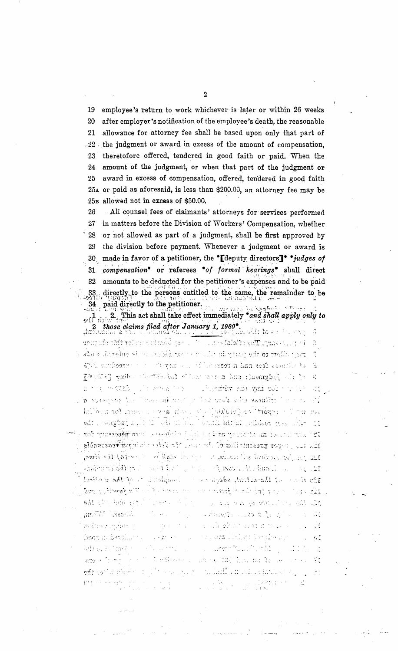employee's return to work whichever is later or within 26 weeks 19 20 after employer's notification of the employee's death, the reasonable allowance for attorney fee shall be based upon only that part of 21  $.22$ the judgment or award in excess of the amount of compensation. theretofore offered, tendered in good faith or paid. When the 23 amount of the judgment, or when that part of the judgment or 24 award in excess of compensation, offered, tendered in good faith 25 25A or paid as aforesaid, is less than \$200.00, an attorney fee may be 25B allowed not in excess of \$50.00.

All counsel fees of claimants' attorneys for services performed 26 27 in matters before the Division of Workers' Compensation, whether or not allowed as part of a judgment, shall be first approved by 28 the division before payment. Whenever a judgment or award is 29 made in favor of a petitioner, the "[deputy directors]" "judges of 30 compensation\* or referees \*of formal hearings\* shall direct 31 amounts to be deducted for the petitioner's expenses and to be paid 32 directly to the persons entitled to the same, the remainder to be 33 paid directly to the petitioner. 34 Then years in Room in 27

2. This act shall take effect immediately \*and shall apply only to 2 those claims filed after January 1, 1980<sup>\*</sup>. 7,7  $\alpha$  is abundance that the chapter Lates faiblits selflicture and care

regularite to the party in a constitution of the entends of the stats  $\beta$ of where ices in the case with none of property in the Ship Ship of ils hadgment, and in review to factority of series fields of E THE MACKER ! **The State of Second** Postalia em juni normano

 $\sigma$  of these city does with  $\tau_{\rm c}$  and the costing of proposes  $d$ full four and four faibles in a set of a little state. For many Tali di Bili odi Liengbaha Lill Tennel athlet infalcon steel the 12 : Romina al anteceptant i del constant de constituto da sensibilità 12. Iss., super presentation of the sound of a side of the purfree countile  $\pm\omega$  (be to the set finite will reacted to  $\pm\omega$  , which shall be J. t. The errorism **South Service State of the Service Community of the Service Community Community** 

complete to the flue medical im their of the extrat, seems of the and without with the transport of the disciple of the same  $\tau \geq 5$  $\label{eq:1} \begin{array}{ll} \mathbb{E}[\mathbb{E}_{\mathbf{S}} \times \mathbb{E}[\mathbb{E}[\mathbb{E}[\mathbb{E}[\mathbb{E}[\mathbb{E}[\mathbb{E}[\mathbb{E}[\mathbb{E}[\mathbb{E}[\mathbb{E}[\mathbb{E}[\mathbb{E}[\mathbb{E}[\mathbb{E}[\mathbb{E}[\mathbb{E}[\mathbb{E}[\mathbb{E}[\mathbb{E}[\mathbb{E}[\mathbb{E}[\mathbb{E}[\mathbb{E}[\mathbb{E}[\mathbb{E}[\mathbb{E}[\mathbb{E}[\mathbb{E}[\mathbb{E}[\mathbb{E}$  $\sim$  100  $\sim$ and the second state of the state uûf. MUSIC Research Singer, งเกลยแล้ว แบ่งอย่าง ไป เป็นเ  $\sim$ noftima in dan r di ekst nya nya  $\mathbb{R}^2$ . F  $\mathbb{Z}\times \mathbb{Z}^{n\times n\times n}$ and the second complete the second complete second to the second second second second second second second second second second second second second second second second second second second second second second second sec hansels forth and  $\sigma_{\rm e}$  7  $\mathbb{E} \left[ \mathcal{L}(\mathcal{Q}) \right] \triangleq \mathcal{L}(\mathcal{L}(\mathcal{Q})) \triangleq \mathcal{L}(\mathcal{Q})$ offrom the  $\sim 10^{12}$ أوروبات arren a  $\overline{\mathcal{O}}(s)$  , we can

office the steel and the

16 mg tay ta mara 计算 经工厂 ΥÊ s as only moved in the first control that

 $\mathcal{N}_\infty$  ,  $\mathcal{U}_\infty$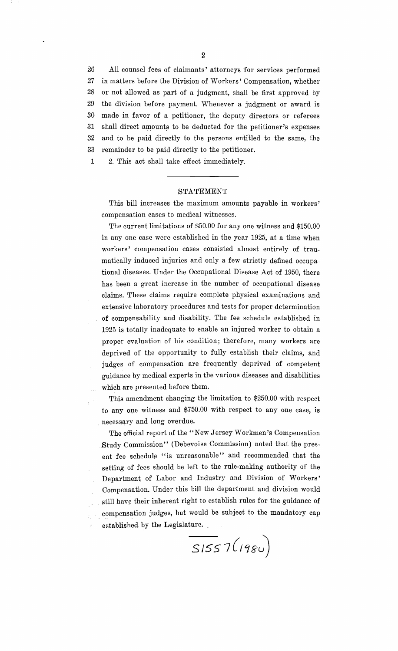26 All counsel fees of claimants' attorneys for services performed 27 in matters before the Division of Workers' Compensation, whether 28 or not allowed as part of a judgment, shall be first approved by 29 the division before payment. Whenever a judgment or award is 30 made in favor of a petitioner, the deputy directors or referees 31 shall direct amounts to be deducted for the petitioner's expenses 32 and to be paid directly to the persons entitled to the same, the 33 remainder to be paid directly to the petitioner.

1 2. This act shall take effect immediately.

### STATEMENT

This bill increases the maximum amounts payable in workers' compensation cases to medical witnesses.

The current limitations of \$50.00 for anyone witness and \$150.00 in anyone case were established in the year 1925, at a time when workers' compensation cases consisted almost entirely of traumatically induced injuries and only a few strictly defined occupational diseases. Under the Occupational Disease Act of 1950, there has been a great increase in the number of occupational disease claims. These claims require complete physical examinations and extensive laboratory procedures and tests for proper determination of compensability and disability. The fee schedule established in 1925 is totally inadequate to enable an injured worker to obtain a proper evaluation of his condition; therefore, many workers are deprived of the opportunity to fully establish their claims, and judges of compensation are frequently deprived of competent guidance by medical experts in the various diseases and disabilities which are presented before them.

This amendment changing the limitation to \$250.00 with respect to anyone witness and \$750.00 with respect to anyone case, is \_necessary and long overdue.

The official report of the "New Jersey Workmen's Compensation Study Commission" (Debevoise Commission) noted that the present fee schedule "is unreasonable" and recommended that the setting of fees should be left to the rule-making authority of the Department of Labor and Industry and Division of Workers' Compensation. Under this bill the department and division would . still have their inherent right to establish rules for the guidance of compensation judges, but would be subject to the mandatory cap established by the Legislature.

 $\overline{\phantom{0}}$ SISS $7(1980)$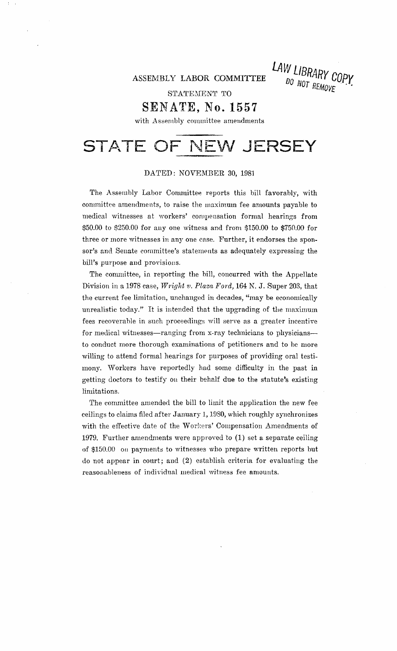ASSEMBLY LABOR COMMITTEE **LAW LIBRARY COPY** DO NOT REMOVE

STATEMENT TO

### **SENATE, No. 1557**

with Assembly committee amendments

## **STATE OF NEW JERSEY**

#### DATED: NOVEMBER 30, 1981

The Assembly Labor Committee reports this bill favorably, with committee amendments, to raise the maximum fee amounts payable to medical witnesses at workers' compensation formal hearings from \$50.00 to \$250.00 for anyone witness and from \$150.00 to \$750.00 for three or more witnesses in anyone case. Further, it endorses the sponsor's and Senate committee's statements as adequately expressing the bill's purpose and provisions.

The committee, in reporting the bill, concurred with the Appellate Division in a 1978 case, *Wright v. Plaza Ford*, 164 N. J. Super 203, that the current fee limitation, unchanged in decades, "may be economically unrealistic today." It is intended that the upgrading of the maximum fees recoverable in such proceedings will serve as a greater incentive for medical witnesses—ranging from x-ray technicians to physicians to conduct more thorough examinations of petitioners and to be more willing to attend formal hearings for purposes of providing oral testimony. Workers have reportedly had some difficulty in the past in getting doctors to testify on their behalf due to the statute's existing limitations.

The committee amended the bill to limit the application the new fee ceilings to claims filed after January 1, 1980, which roughly synchronizes with the effective date of the Workers' Compensation Amendments of 1979. Further amendments were approved to  $(1)$  set a separate ceiling of \$150.00 on payments to witnesses who prepare written reports but do not appear in court; and (2) establish criteria for evaluating the reasonableness of individual medical witness fee amounts.